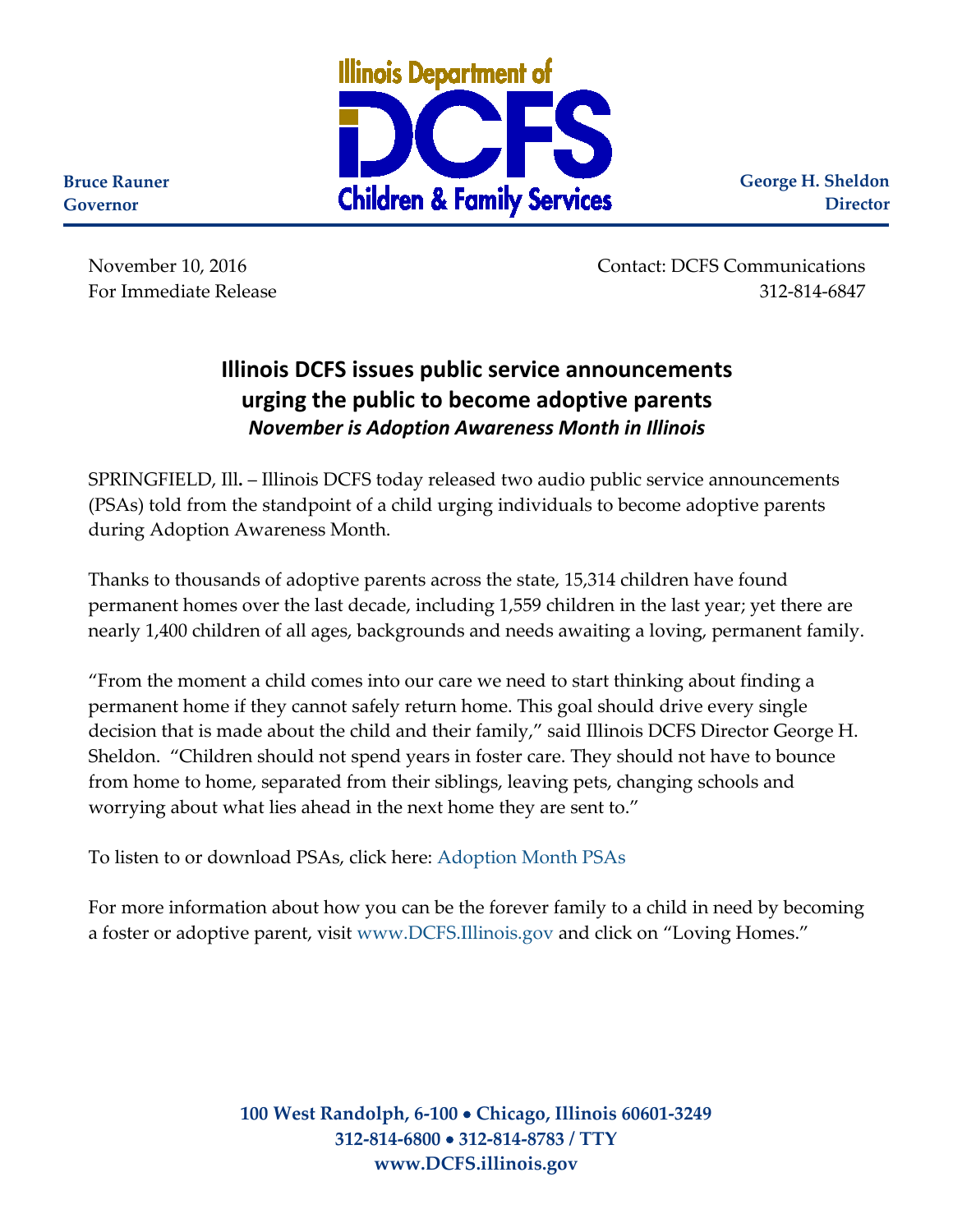

**George H. Sheldon Director**

**Bruce Rauner Governor**

> November 10, 2016 Contact: DCFS Communications For Immediate Release 312-814-6847

## **Illinois DCFS issues public service announcements urging the public to become adoptive parents** *November is Adoption Awareness Month in Illinois*

SPRINGFIELD, Ill**.** – Illinois DCFS today released two audio public service announcements (PSAs) told from the standpoint of a child urging individuals to become adoptive parents during Adoption Awareness Month.

Thanks to thousands of adoptive parents across the state, 15,314 children have found permanent homes over the last decade, including 1,559 children in the last year; yet there are nearly 1,400 children of all ages, backgrounds and needs awaiting a loving, permanent family.

"From the moment a child comes into our care we need to start thinking about finding a permanent home if they cannot safely return home. This goal should drive every single decision that is made about the child and their family," said Illinois DCFS Director George H. Sheldon. "Children should not spend years in foster care. They should not have to bounce from home to home, separated from their siblings, leaving pets, changing schools and worrying about what lies ahead in the next home they are sent to."

To listen to or download PSAs, click here: [Adoption Month PSAs](https://www.illinois.gov/cms/agency/media/radio/SitePages/PSA.aspx)

For more information about how you can be the forever family to a child in need by becoming a foster or adoptive parent, visit [www.DCFS.Illinois.gov](http://www.dcfs.illinois.gov/) and click on "Loving Homes."

> **100 West Randolph, 6-100** • **Chicago, Illinois 60601-3249 312-814-6800** • **312-814-8783 / TTY www.DCFS.illinois.gov**